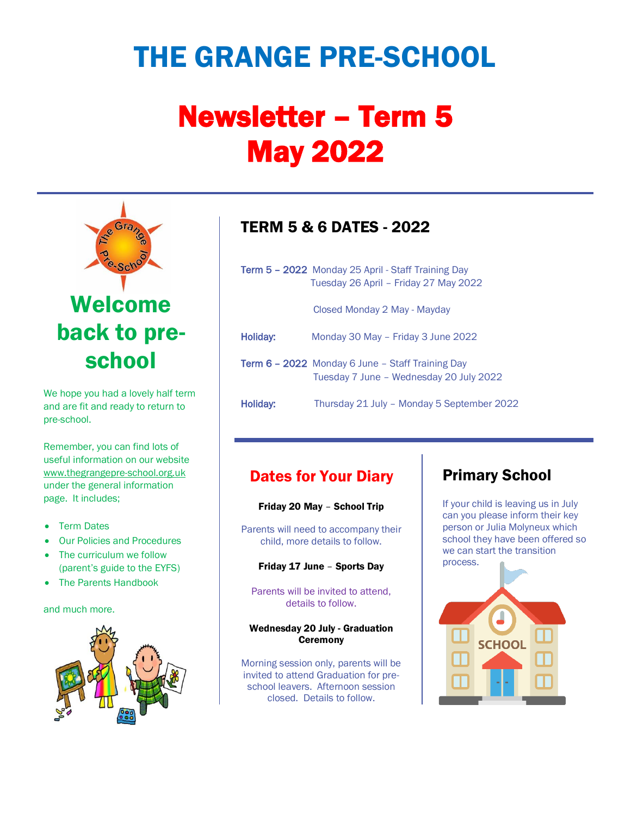# THE GRANGE PRE-SCHOOL

# Newsletter – Term 5 May 2022



We hope you had a lovely half term and are fit and ready to return to pre-school.

Remember, you can find lots of useful information on our website [www.thegrangepre-school.org.uk](http://www.thegrangepre-school.org.uk/) under the general information page. It includes;

- Term Dates
- Our Policies and Procedures
- The curriculum we follow (parent's guide to the EYFS)
- The Parents Handbook

#### and much more.



# TERM 5 & 6 DATES - 2022

|                 | <b>Term 5 - 2022</b> Monday 25 April - Staff Training Day<br>Tuesday 26 April - Friday 27 May 2022 |
|-----------------|----------------------------------------------------------------------------------------------------|
|                 | Closed Monday 2 May - Mayday                                                                       |
| <b>Holiday:</b> | Monday 30 May - Friday 3 June 2022                                                                 |
|                 | <b>Term 6 - 2022</b> Monday 6 June - Staff Training Day<br>Tuesday 7 June - Wednesday 20 July 2022 |

Holiday: Thursday 21 July – Monday 5 September 2022

## Dates for Your Diary

Friday 20 May – School Trip

Parents will need to accompany their child, more details to follow.

Friday 17 June – Sports Day

Parents will be invited to attend, details to follow.

#### Wednesday 20 July - Graduation **Ceremony**

Morning session only, parents will be invited to attend Graduation for preschool leavers. Afternoon session closed. Details to follow.

# Primary School

If your child is leaving us in July can you please inform their key person or Julia Molyneux which school they have been offered so we can start the transition process.